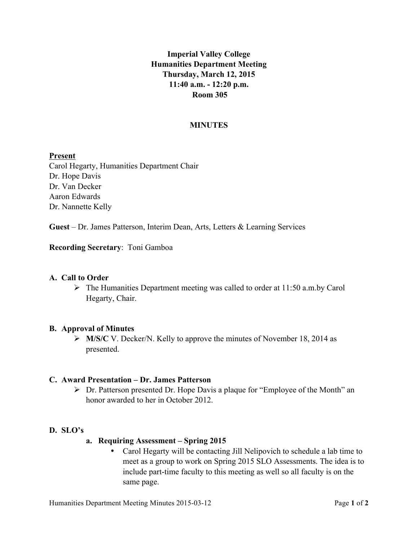# **Imperial Valley College Humanities Department Meeting Thursday, March 12, 2015 11:40 a.m. - 12:20 p.m. Room 305**

### **MINUTES**

#### **Present**

Carol Hegarty, Humanities Department Chair Dr. Hope Davis Dr. Van Decker Aaron Edwards Dr. Nannette Kelly

**Guest** – Dr. James Patterson, Interim Dean, Arts, Letters & Learning Services

#### **Recording Secretary**: Toni Gamboa

#### **A. Call to Order**

 $\triangleright$  The Humanities Department meeting was called to order at 11:50 a.m.by Carol Hegarty, Chair.

#### **B. Approval of Minutes**

Ø **M/S/C** V. Decker/N. Kelly to approve the minutes of November 18, 2014 as presented.

#### **C. Award Presentation – Dr. James Patterson**

 $\triangleright$  Dr. Patterson presented Dr. Hope Davis a plaque for "Employee of the Month" an honor awarded to her in October 2012.

#### **D. SLO's**

- **a. Requiring Assessment – Spring 2015**
	- Carol Hegarty will be contacting Jill Nelipovich to schedule a lab time to meet as a group to work on Spring 2015 SLO Assessments. The idea is to include part-time faculty to this meeting as well so all faculty is on the same page.

Humanities Department Meeting Minutes 2015-03-12 Page **1** of **2**